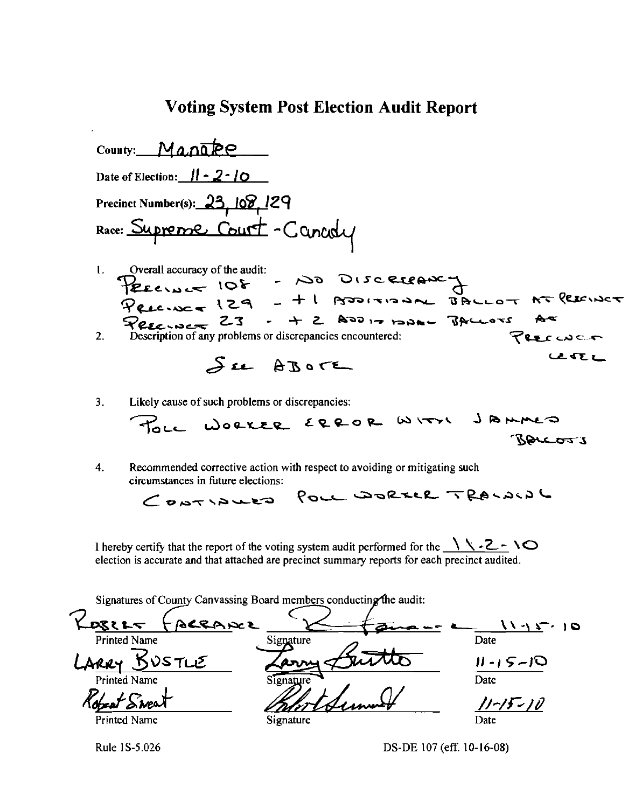### Voting System Post Election Audit Report

County: Manabe Date of Election: *1/* - *2·/0*  Precinct Number(s): 23, 108, 129 Race: Supreme Court - Canady I. Overall accuracy of the audit:<br>
PEECINC = 10 DISC ELEANCY<br>
PEECINC = 129 - + l PODITIONAL BALLOT AT REEINCT TRECINCT : - 1 2 ADD 17 12AD - BALLOTS AT  $\begin{array}{ccc}\n\mathcal{P}_{\ell,\ell,\ell} & \to & \mathcal{Z} & \mathcal{Z} & \mathcal{Z} & \mathcal{Z} & \mathcal{Z} & \mathcal{Z} & \mathcal{Z} & \mathcal{Z} & \mathcal{Z} & \mathcal{Z} & \mathcal{Z} & \mathcal{Z} & \mathcal{Z} & \mathcal{Z} & \mathcal{Z} & \mathcal{Z} & \mathcal{Z} & \mathcal{Z} & \mathcal{Z} & \mathcal{Z} & \mathcal{Z} & \mathcal{Z} & \mathcal{Z} & \mathcal{Z} & \mathcal{Z} & \mathcal{Z} & \mathcal{Z} & \mathcal{Z}$ 2. Description of any problems or discrepancies encountered:  $\bigtriangledown$ e e $\subset$ **LESEZ** See AROVE

3. Likely cause of such problems or discrepancies:

~L<- WOQ..~IOL £q.9-o

4. Recommended corrective action with respect to avoiding or mitigating such circumstances in future elections:

POLL DORELL TRALAING  $G$ UNTIAUED

I hereby certify that the report of the voting system audit performed for the  $\sqrt{\ }$ -2- $\vee$ election is accurate and that attached are precinct summary reports for each precinct audited.

Signatures of County Canvassing Board members conducting the audit:

Rosense Signature Commence 11-15-10<br>Printed Name SUSTLE Zarry Luitte 11-15-10  $\frac{11.45}{\pi}$  10  $L$ ARRY  $B$ USTLE Signature  $\frac{L}{\frac{11.15-10}{2}}$  $R_{\text{best}}$  Sweet \_\_\_\_\_ *Palort Summer* 11-15-10 Printed Name Signature Signature Date

Rule IS-5.026 OS-DE 107 (eff. 10-16-08)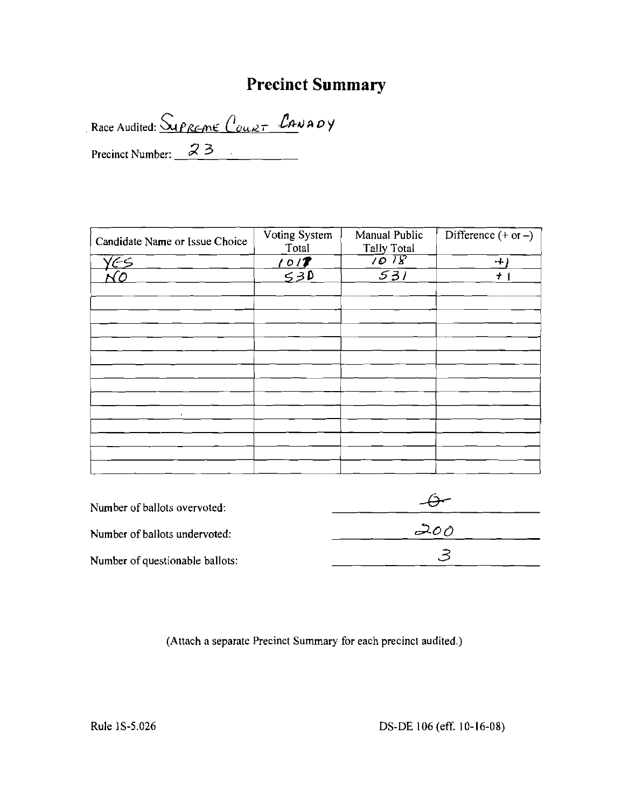## **Precinct Summary**

Race Audited: <u>Suppente</u> Court CANADY

Precinct Number:  $\frac{23}{ }$ 

| Candidate Name or Issue Choice | Voting System<br>Total | Manual Public<br>Tally Total | Difference $(+ or -)$ |
|--------------------------------|------------------------|------------------------------|-----------------------|
| lES                            | 1017                   | $\sqrt{018}$                 | $+ i$                 |
|                                | 530                    | $\overline{531}$             | $\pm$                 |
|                                |                        |                              |                       |
|                                |                        |                              |                       |
|                                |                        |                              |                       |
|                                |                        |                              |                       |
|                                |                        |                              |                       |
| $\bullet$                      |                        |                              |                       |
|                                |                        |                              |                       |
|                                |                        |                              |                       |
|                                |                        |                              |                       |

| Number of ballots overvoted:    |     |
|---------------------------------|-----|
| Number of ballots undervoted:   | 200 |
| Number of questionable ballots: |     |

(Attach a separate Precinct Summary for each precinct audited.)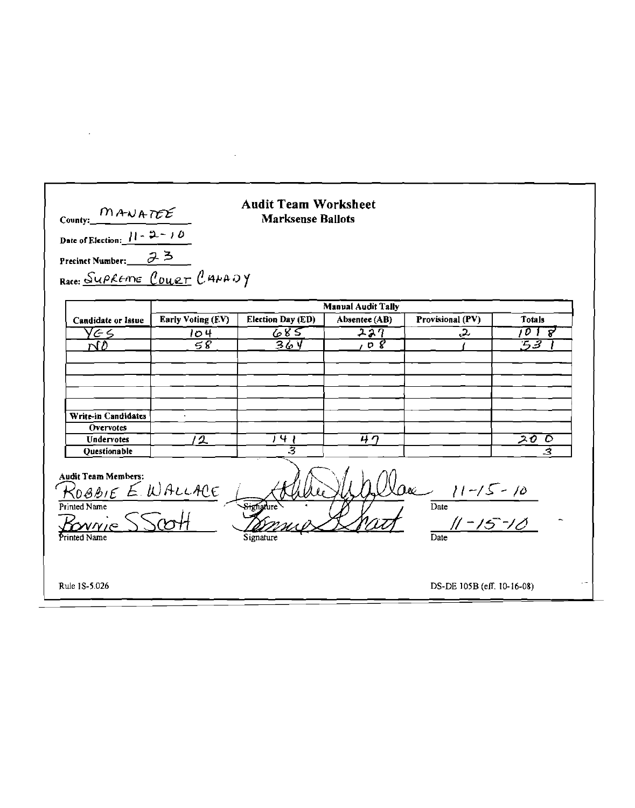| County: $\frac{M A \cup A T E E}{1 - 2 - 10}$<br>Precinct Number: 23<br>Race: SUPREME COURT CANADY                                                      |                   | <b>Audit Team Worksheet</b><br><b>Marksense Ballots</b> |                           |                            |               |
|---------------------------------------------------------------------------------------------------------------------------------------------------------|-------------------|---------------------------------------------------------|---------------------------|----------------------------|---------------|
|                                                                                                                                                         |                   |                                                         | <b>Manual Audit Tally</b> |                            |               |
| Candidate or Issue                                                                                                                                      | Early Voting (EV) | Election Day (ED)                                       | Absentee (AB)             | Provisional (PV)           | <b>Totals</b> |
| YGS.                                                                                                                                                    | 104               | 685                                                     | ユスク                       | <u>مى</u>                  | 1018          |
| N0                                                                                                                                                      | 58                | 36 Y                                                    | $\overline{p}$            |                            | ちる            |
| Write-in Candidates<br><b>Overvotes</b>                                                                                                                 |                   |                                                         |                           |                            |               |
| Undervotes<br><b>Ouestionable</b>                                                                                                                       | 2                 | $\overline{1}$ 4 $\overline{1}$<br>उ                    | 47                        |                            | 20 D<br>-3    |
| <b>Audit Team Members:</b><br>$0 & 11-15-10$<br>ROBBIE E. WALLACE<br>Date<br>Printed Name<br>$11 - 15 - 10$<br>WWE<br>Printed Name<br>Signature<br>Date |                   |                                                         |                           |                            |               |
| Rule 1S-5.026                                                                                                                                           |                   |                                                         |                           | DS-DE 105B (eff. 10-16-08) |               |

 $\mathcal{A}^{\text{max}}_{\text{max}}$ 

 $\mathcal{L}^{\text{max}}_{\text{max}}$  and  $\mathcal{L}^{\text{max}}_{\text{max}}$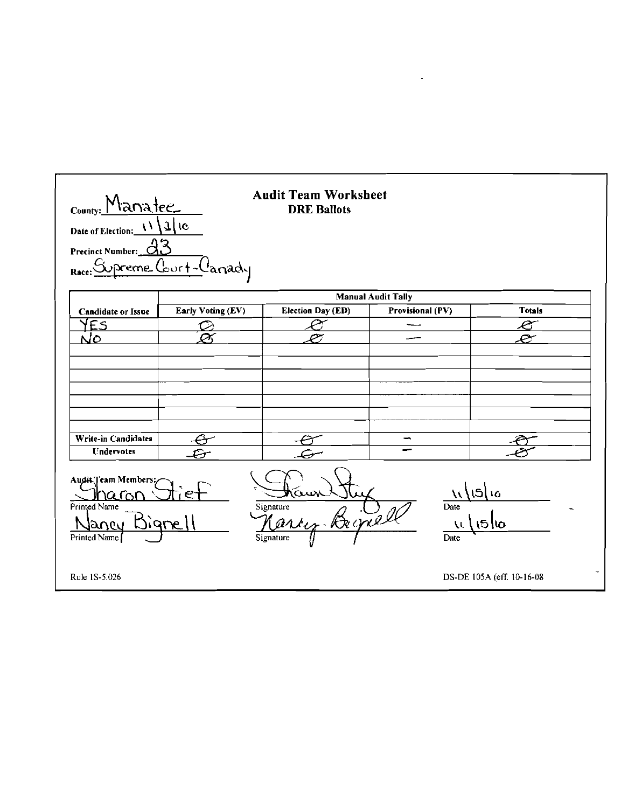| County: Manatee<br>Date of Election: $\frac{11}{11}$<br>Precinct Number:<br>Rac                                                                                                      | $71$ le<br>eme (burt-l'anady | <b>Audit Team Worksheet</b><br><b>DRE Ballots</b> |                           |                           |
|--------------------------------------------------------------------------------------------------------------------------------------------------------------------------------------|------------------------------|---------------------------------------------------|---------------------------|---------------------------|
|                                                                                                                                                                                      |                              |                                                   | <b>Manual Audit Tally</b> |                           |
| <b>Candidate or Issue</b>                                                                                                                                                            | Early Voting (EV)            | <b>Election Day (ED)</b>                          | Provisional (PV)          | <b>Totals</b>             |
| YES                                                                                                                                                                                  | دنف                          |                                                   |                           | e                         |
| NO                                                                                                                                                                                   | $\curvearrowright$           |                                                   |                           |                           |
|                                                                                                                                                                                      |                              |                                                   |                           |                           |
| <b>Write-in Candidates</b>                                                                                                                                                           |                              |                                                   | $\rightarrow$             |                           |
| <b>Undervotes</b>                                                                                                                                                                    |                              |                                                   |                           |                           |
| Audit Team Members;<br>ោ<br>10<br>Date<br>Printed Name<br>Signature<br>Begrell<br>Mari<br>iiane<br>$15$ 10<br>$\overline{\mathcal{L}}$<br>iancu<br>Signature<br>Printed Name<br>Date |                              |                                                   |                           |                           |
| Rule 1S-5.026                                                                                                                                                                        |                              |                                                   |                           | DS-DE 105A (eff. 10-16-08 |

 $\mathcal{L}^{\mathcal{L}}(\mathbf{w})$  and  $\mathcal{L}^{\mathcal{L}}(\mathbf{w})$  .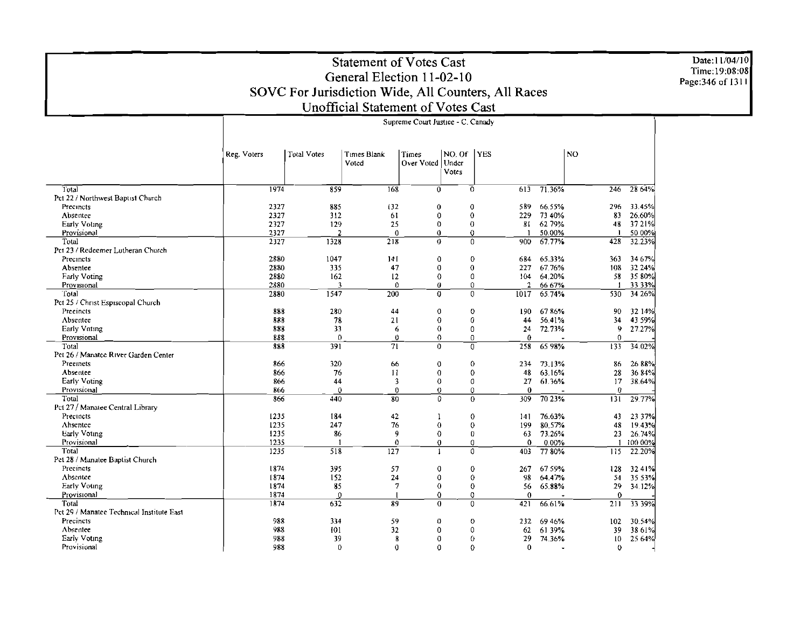Date:11/04/10<br>Time:19:08:08<br>Page:346 of 1311

### Statement of Votes Cast General Election 11-02-10 SOVC For Jurisdiction Wide, All Counters, All Races Unofficial Statement of Votes Cast

| <b>Total Votes</b><br>NO. Of<br><b>YES</b><br><b>NO</b><br>Reg. Voters<br>Times Blank<br>Times<br>Over Voted<br>Under<br>Voted<br>Votes<br>71.36%<br>1974<br>859<br>168<br>$\Omega$<br>$\mathbf 0$<br>246<br>28 64%<br>Total<br>613<br>Pct 22 / Northwest Baptist Church<br>2327<br>885<br>132<br>0<br>589<br>66.55%<br>33.45%<br>Precincts<br>$\mathbf 0$<br>296<br>2327<br>3.2<br>$\mathbf 0$<br>229<br>Absentee<br>61<br>$\bf{0}$<br>73 40%<br>83<br>26.60%<br>25<br>62 79%<br>37 21%<br>2327<br>129<br>$\Omega$<br>0<br>81<br>48<br>Early Voting<br>2327<br>50.00%<br>50 00%<br>Provisional<br>$\overline{2}$<br>$\theta$<br>0<br>0<br>218<br>67.77%<br>Total<br>2327<br>1328<br>$\Omega$<br>0<br>900<br>428<br>32.23%<br>Pct 23 / Redeemer Lutheran Church<br>2880<br>1047<br>Precincts<br>141<br>$\bf{0}$<br>$\mathbf 0$<br>684<br>65.33%<br>363<br>34 6 7%<br>2880<br>335<br>47<br>$\mathbf 0$<br>$\overline{0}$<br>67.76%<br>32.24%<br>Absentee<br>227<br>108<br>2880<br>162<br>12<br>64.20%<br>58.<br>35 80%<br><b>Early Voting</b><br>0<br>0<br>104<br>2880<br>$\mathbf 0$<br>33 33%<br>3<br>$\theta$<br>$\theta$<br>$\mathfrak{p}$<br>66 67%<br>Provisional<br>1547<br>200<br>Total<br>2880<br>$\Omega$<br>1017<br>65.74%<br>34 26%<br>$\Omega$<br>530<br>Pct 25 / Christ Espiscopal Church<br>888<br>280<br>44<br>0<br>0<br>6786%<br>32 14%<br>Preeincts<br>190<br>90<br>$\theta$<br>$\theta$<br>43 59%<br>Absentee<br>888<br>78<br>56.41%<br>34<br>21<br>44<br>885<br>33<br>72.73%<br>$\theta$<br>9<br>27.27%<br>Early Vnting<br>6<br>0<br>24<br>888<br>$\Omega$<br>$\Omega$<br>Provisional<br>$\bf{0}$<br>$\mathbf{0}$<br>$\theta$<br>$\Omega$<br>$\overline{71}$<br>34.02%<br>Total<br>388<br>391<br>$\Omega$<br>$\overline{0}$<br>258<br>65 98%<br>133<br>Pet 26 / Manatee River Garden Center<br>Preemets<br>866<br>320<br>$\mathbf 0$<br>26 88%<br>66<br>0<br>234<br>73.13%<br>86<br>Absentee<br>866<br>76<br>11<br>$\theta$<br>$\mathbf 0$<br>48<br>63.16%<br>36 84%<br>28<br>Early Voting<br>866<br>44<br>3<br>$\theta$<br>0<br>27<br>61.36%<br>38.64%<br>17<br>Provisional<br>866<br>$\Omega$<br>$\theta$<br>$\bf{0}$<br>0<br>$\bf{0}$<br>0<br>Total<br>$\overline{80}$<br>$\Omega$<br>309<br>$70.23\%$<br>29.77%<br>866<br>440<br>$\Omega$<br>131<br>Pct 27 / Manatee Central Library<br>1235<br>184<br>42<br>Precincts<br>$\theta$<br>76.63%<br>23 37%<br>1<br>141<br>43<br>Ahsentee<br>1235<br>247<br>76<br>$\mathbf{0}$<br>$\theta$<br>80.57%<br>199<br>48<br>19.43%<br>1235<br>Early Voting<br>86<br>9<br>$\theta$<br>73.26%<br>0<br>63<br>23<br>26.74%<br>1235<br>Provisional<br>$\theta$<br>$\bf{0}$<br>0<br>$\Omega$<br>0.00%<br>100 00%<br>$\mathbf{1}$<br>Total<br>1235<br>518<br>127<br>7780%<br>22.20%<br>0<br>403<br>115<br>Pet 28 / Manatee Baptist Church<br>1874<br>Precincts<br>395<br>57<br>$\mathbf 0$<br>$\bf{0}$<br>267<br>6759%<br>32 4 I %<br>128<br>Absentee<br>1874<br>1.2<br>24<br>$\mathbf 0$<br>$\mathbf 0$<br>98<br>64.47%<br>54<br>35.53%<br>$\overline{7}$<br>Early Voting<br>1874<br>85<br>$\mathbf 0$<br>$\theta$<br>65.88%<br>29<br>56<br>34.12%<br>Provisional<br>1874<br>0<br>0<br>$\Omega$<br>0<br>$\mathbf 0$<br>1874<br>Total<br>89<br>$\bf{0}$<br>0<br>66.61%<br>211<br>33 39%<br>632<br>421<br>Pet 29 / Manatee Technical Institute East<br>988<br>Precincis<br>59<br>334<br>0<br>0<br>232<br>6946%<br>30.54%<br>102<br>988<br>0<br>Absentee<br>101<br>32<br>0<br>39<br>38 61%<br>62<br>6139%<br>Early Voting<br>988<br>39<br>0<br>8<br>0<br>29<br>74.36%<br>10<br>25 64%<br>Provisional<br>988<br>0<br>$\mathbf{0}$<br>$\mathbf 0$<br>0<br>0<br>0 | Supreme Court Justiee - C. Canady |  |  |  |  |  |  |  |
|------------------------------------------------------------------------------------------------------------------------------------------------------------------------------------------------------------------------------------------------------------------------------------------------------------------------------------------------------------------------------------------------------------------------------------------------------------------------------------------------------------------------------------------------------------------------------------------------------------------------------------------------------------------------------------------------------------------------------------------------------------------------------------------------------------------------------------------------------------------------------------------------------------------------------------------------------------------------------------------------------------------------------------------------------------------------------------------------------------------------------------------------------------------------------------------------------------------------------------------------------------------------------------------------------------------------------------------------------------------------------------------------------------------------------------------------------------------------------------------------------------------------------------------------------------------------------------------------------------------------------------------------------------------------------------------------------------------------------------------------------------------------------------------------------------------------------------------------------------------------------------------------------------------------------------------------------------------------------------------------------------------------------------------------------------------------------------------------------------------------------------------------------------------------------------------------------------------------------------------------------------------------------------------------------------------------------------------------------------------------------------------------------------------------------------------------------------------------------------------------------------------------------------------------------------------------------------------------------------------------------------------------------------------------------------------------------------------------------------------------------------------------------------------------------------------------------------------------------------------------------------------------------------------------------------------------------------------------------------------------------------------------------------------------------------------------------------------------------------------------------------------------------------------------------------------------------------------------------------------------------------------------------------------------------------------------------------------------------------------------------------------------------------------------------------------------------------------------------------------------------------------------------------------------------------------------------------------------------------------|-----------------------------------|--|--|--|--|--|--|--|
|                                                                                                                                                                                                                                                                                                                                                                                                                                                                                                                                                                                                                                                                                                                                                                                                                                                                                                                                                                                                                                                                                                                                                                                                                                                                                                                                                                                                                                                                                                                                                                                                                                                                                                                                                                                                                                                                                                                                                                                                                                                                                                                                                                                                                                                                                                                                                                                                                                                                                                                                                                                                                                                                                                                                                                                                                                                                                                                                                                                                                                                                                                                                                                                                                                                                                                                                                                                                                                                                                                                                                                                                                  |                                   |  |  |  |  |  |  |  |
|                                                                                                                                                                                                                                                                                                                                                                                                                                                                                                                                                                                                                                                                                                                                                                                                                                                                                                                                                                                                                                                                                                                                                                                                                                                                                                                                                                                                                                                                                                                                                                                                                                                                                                                                                                                                                                                                                                                                                                                                                                                                                                                                                                                                                                                                                                                                                                                                                                                                                                                                                                                                                                                                                                                                                                                                                                                                                                                                                                                                                                                                                                                                                                                                                                                                                                                                                                                                                                                                                                                                                                                                                  |                                   |  |  |  |  |  |  |  |
|                                                                                                                                                                                                                                                                                                                                                                                                                                                                                                                                                                                                                                                                                                                                                                                                                                                                                                                                                                                                                                                                                                                                                                                                                                                                                                                                                                                                                                                                                                                                                                                                                                                                                                                                                                                                                                                                                                                                                                                                                                                                                                                                                                                                                                                                                                                                                                                                                                                                                                                                                                                                                                                                                                                                                                                                                                                                                                                                                                                                                                                                                                                                                                                                                                                                                                                                                                                                                                                                                                                                                                                                                  |                                   |  |  |  |  |  |  |  |
|                                                                                                                                                                                                                                                                                                                                                                                                                                                                                                                                                                                                                                                                                                                                                                                                                                                                                                                                                                                                                                                                                                                                                                                                                                                                                                                                                                                                                                                                                                                                                                                                                                                                                                                                                                                                                                                                                                                                                                                                                                                                                                                                                                                                                                                                                                                                                                                                                                                                                                                                                                                                                                                                                                                                                                                                                                                                                                                                                                                                                                                                                                                                                                                                                                                                                                                                                                                                                                                                                                                                                                                                                  |                                   |  |  |  |  |  |  |  |
|                                                                                                                                                                                                                                                                                                                                                                                                                                                                                                                                                                                                                                                                                                                                                                                                                                                                                                                                                                                                                                                                                                                                                                                                                                                                                                                                                                                                                                                                                                                                                                                                                                                                                                                                                                                                                                                                                                                                                                                                                                                                                                                                                                                                                                                                                                                                                                                                                                                                                                                                                                                                                                                                                                                                                                                                                                                                                                                                                                                                                                                                                                                                                                                                                                                                                                                                                                                                                                                                                                                                                                                                                  |                                   |  |  |  |  |  |  |  |
|                                                                                                                                                                                                                                                                                                                                                                                                                                                                                                                                                                                                                                                                                                                                                                                                                                                                                                                                                                                                                                                                                                                                                                                                                                                                                                                                                                                                                                                                                                                                                                                                                                                                                                                                                                                                                                                                                                                                                                                                                                                                                                                                                                                                                                                                                                                                                                                                                                                                                                                                                                                                                                                                                                                                                                                                                                                                                                                                                                                                                                                                                                                                                                                                                                                                                                                                                                                                                                                                                                                                                                                                                  |                                   |  |  |  |  |  |  |  |
|                                                                                                                                                                                                                                                                                                                                                                                                                                                                                                                                                                                                                                                                                                                                                                                                                                                                                                                                                                                                                                                                                                                                                                                                                                                                                                                                                                                                                                                                                                                                                                                                                                                                                                                                                                                                                                                                                                                                                                                                                                                                                                                                                                                                                                                                                                                                                                                                                                                                                                                                                                                                                                                                                                                                                                                                                                                                                                                                                                                                                                                                                                                                                                                                                                                                                                                                                                                                                                                                                                                                                                                                                  |                                   |  |  |  |  |  |  |  |
|                                                                                                                                                                                                                                                                                                                                                                                                                                                                                                                                                                                                                                                                                                                                                                                                                                                                                                                                                                                                                                                                                                                                                                                                                                                                                                                                                                                                                                                                                                                                                                                                                                                                                                                                                                                                                                                                                                                                                                                                                                                                                                                                                                                                                                                                                                                                                                                                                                                                                                                                                                                                                                                                                                                                                                                                                                                                                                                                                                                                                                                                                                                                                                                                                                                                                                                                                                                                                                                                                                                                                                                                                  |                                   |  |  |  |  |  |  |  |
|                                                                                                                                                                                                                                                                                                                                                                                                                                                                                                                                                                                                                                                                                                                                                                                                                                                                                                                                                                                                                                                                                                                                                                                                                                                                                                                                                                                                                                                                                                                                                                                                                                                                                                                                                                                                                                                                                                                                                                                                                                                                                                                                                                                                                                                                                                                                                                                                                                                                                                                                                                                                                                                                                                                                                                                                                                                                                                                                                                                                                                                                                                                                                                                                                                                                                                                                                                                                                                                                                                                                                                                                                  |                                   |  |  |  |  |  |  |  |
|                                                                                                                                                                                                                                                                                                                                                                                                                                                                                                                                                                                                                                                                                                                                                                                                                                                                                                                                                                                                                                                                                                                                                                                                                                                                                                                                                                                                                                                                                                                                                                                                                                                                                                                                                                                                                                                                                                                                                                                                                                                                                                                                                                                                                                                                                                                                                                                                                                                                                                                                                                                                                                                                                                                                                                                                                                                                                                                                                                                                                                                                                                                                                                                                                                                                                                                                                                                                                                                                                                                                                                                                                  |                                   |  |  |  |  |  |  |  |
|                                                                                                                                                                                                                                                                                                                                                                                                                                                                                                                                                                                                                                                                                                                                                                                                                                                                                                                                                                                                                                                                                                                                                                                                                                                                                                                                                                                                                                                                                                                                                                                                                                                                                                                                                                                                                                                                                                                                                                                                                                                                                                                                                                                                                                                                                                                                                                                                                                                                                                                                                                                                                                                                                                                                                                                                                                                                                                                                                                                                                                                                                                                                                                                                                                                                                                                                                                                                                                                                                                                                                                                                                  |                                   |  |  |  |  |  |  |  |
|                                                                                                                                                                                                                                                                                                                                                                                                                                                                                                                                                                                                                                                                                                                                                                                                                                                                                                                                                                                                                                                                                                                                                                                                                                                                                                                                                                                                                                                                                                                                                                                                                                                                                                                                                                                                                                                                                                                                                                                                                                                                                                                                                                                                                                                                                                                                                                                                                                                                                                                                                                                                                                                                                                                                                                                                                                                                                                                                                                                                                                                                                                                                                                                                                                                                                                                                                                                                                                                                                                                                                                                                                  |                                   |  |  |  |  |  |  |  |
|                                                                                                                                                                                                                                                                                                                                                                                                                                                                                                                                                                                                                                                                                                                                                                                                                                                                                                                                                                                                                                                                                                                                                                                                                                                                                                                                                                                                                                                                                                                                                                                                                                                                                                                                                                                                                                                                                                                                                                                                                                                                                                                                                                                                                                                                                                                                                                                                                                                                                                                                                                                                                                                                                                                                                                                                                                                                                                                                                                                                                                                                                                                                                                                                                                                                                                                                                                                                                                                                                                                                                                                                                  |                                   |  |  |  |  |  |  |  |
|                                                                                                                                                                                                                                                                                                                                                                                                                                                                                                                                                                                                                                                                                                                                                                                                                                                                                                                                                                                                                                                                                                                                                                                                                                                                                                                                                                                                                                                                                                                                                                                                                                                                                                                                                                                                                                                                                                                                                                                                                                                                                                                                                                                                                                                                                                                                                                                                                                                                                                                                                                                                                                                                                                                                                                                                                                                                                                                                                                                                                                                                                                                                                                                                                                                                                                                                                                                                                                                                                                                                                                                                                  |                                   |  |  |  |  |  |  |  |
|                                                                                                                                                                                                                                                                                                                                                                                                                                                                                                                                                                                                                                                                                                                                                                                                                                                                                                                                                                                                                                                                                                                                                                                                                                                                                                                                                                                                                                                                                                                                                                                                                                                                                                                                                                                                                                                                                                                                                                                                                                                                                                                                                                                                                                                                                                                                                                                                                                                                                                                                                                                                                                                                                                                                                                                                                                                                                                                                                                                                                                                                                                                                                                                                                                                                                                                                                                                                                                                                                                                                                                                                                  |                                   |  |  |  |  |  |  |  |
|                                                                                                                                                                                                                                                                                                                                                                                                                                                                                                                                                                                                                                                                                                                                                                                                                                                                                                                                                                                                                                                                                                                                                                                                                                                                                                                                                                                                                                                                                                                                                                                                                                                                                                                                                                                                                                                                                                                                                                                                                                                                                                                                                                                                                                                                                                                                                                                                                                                                                                                                                                                                                                                                                                                                                                                                                                                                                                                                                                                                                                                                                                                                                                                                                                                                                                                                                                                                                                                                                                                                                                                                                  |                                   |  |  |  |  |  |  |  |
|                                                                                                                                                                                                                                                                                                                                                                                                                                                                                                                                                                                                                                                                                                                                                                                                                                                                                                                                                                                                                                                                                                                                                                                                                                                                                                                                                                                                                                                                                                                                                                                                                                                                                                                                                                                                                                                                                                                                                                                                                                                                                                                                                                                                                                                                                                                                                                                                                                                                                                                                                                                                                                                                                                                                                                                                                                                                                                                                                                                                                                                                                                                                                                                                                                                                                                                                                                                                                                                                                                                                                                                                                  |                                   |  |  |  |  |  |  |  |
|                                                                                                                                                                                                                                                                                                                                                                                                                                                                                                                                                                                                                                                                                                                                                                                                                                                                                                                                                                                                                                                                                                                                                                                                                                                                                                                                                                                                                                                                                                                                                                                                                                                                                                                                                                                                                                                                                                                                                                                                                                                                                                                                                                                                                                                                                                                                                                                                                                                                                                                                                                                                                                                                                                                                                                                                                                                                                                                                                                                                                                                                                                                                                                                                                                                                                                                                                                                                                                                                                                                                                                                                                  |                                   |  |  |  |  |  |  |  |
|                                                                                                                                                                                                                                                                                                                                                                                                                                                                                                                                                                                                                                                                                                                                                                                                                                                                                                                                                                                                                                                                                                                                                                                                                                                                                                                                                                                                                                                                                                                                                                                                                                                                                                                                                                                                                                                                                                                                                                                                                                                                                                                                                                                                                                                                                                                                                                                                                                                                                                                                                                                                                                                                                                                                                                                                                                                                                                                                                                                                                                                                                                                                                                                                                                                                                                                                                                                                                                                                                                                                                                                                                  |                                   |  |  |  |  |  |  |  |
|                                                                                                                                                                                                                                                                                                                                                                                                                                                                                                                                                                                                                                                                                                                                                                                                                                                                                                                                                                                                                                                                                                                                                                                                                                                                                                                                                                                                                                                                                                                                                                                                                                                                                                                                                                                                                                                                                                                                                                                                                                                                                                                                                                                                                                                                                                                                                                                                                                                                                                                                                                                                                                                                                                                                                                                                                                                                                                                                                                                                                                                                                                                                                                                                                                                                                                                                                                                                                                                                                                                                                                                                                  |                                   |  |  |  |  |  |  |  |
|                                                                                                                                                                                                                                                                                                                                                                                                                                                                                                                                                                                                                                                                                                                                                                                                                                                                                                                                                                                                                                                                                                                                                                                                                                                                                                                                                                                                                                                                                                                                                                                                                                                                                                                                                                                                                                                                                                                                                                                                                                                                                                                                                                                                                                                                                                                                                                                                                                                                                                                                                                                                                                                                                                                                                                                                                                                                                                                                                                                                                                                                                                                                                                                                                                                                                                                                                                                                                                                                                                                                                                                                                  |                                   |  |  |  |  |  |  |  |
|                                                                                                                                                                                                                                                                                                                                                                                                                                                                                                                                                                                                                                                                                                                                                                                                                                                                                                                                                                                                                                                                                                                                                                                                                                                                                                                                                                                                                                                                                                                                                                                                                                                                                                                                                                                                                                                                                                                                                                                                                                                                                                                                                                                                                                                                                                                                                                                                                                                                                                                                                                                                                                                                                                                                                                                                                                                                                                                                                                                                                                                                                                                                                                                                                                                                                                                                                                                                                                                                                                                                                                                                                  |                                   |  |  |  |  |  |  |  |
|                                                                                                                                                                                                                                                                                                                                                                                                                                                                                                                                                                                                                                                                                                                                                                                                                                                                                                                                                                                                                                                                                                                                                                                                                                                                                                                                                                                                                                                                                                                                                                                                                                                                                                                                                                                                                                                                                                                                                                                                                                                                                                                                                                                                                                                                                                                                                                                                                                                                                                                                                                                                                                                                                                                                                                                                                                                                                                                                                                                                                                                                                                                                                                                                                                                                                                                                                                                                                                                                                                                                                                                                                  |                                   |  |  |  |  |  |  |  |
|                                                                                                                                                                                                                                                                                                                                                                                                                                                                                                                                                                                                                                                                                                                                                                                                                                                                                                                                                                                                                                                                                                                                                                                                                                                                                                                                                                                                                                                                                                                                                                                                                                                                                                                                                                                                                                                                                                                                                                                                                                                                                                                                                                                                                                                                                                                                                                                                                                                                                                                                                                                                                                                                                                                                                                                                                                                                                                                                                                                                                                                                                                                                                                                                                                                                                                                                                                                                                                                                                                                                                                                                                  |                                   |  |  |  |  |  |  |  |
|                                                                                                                                                                                                                                                                                                                                                                                                                                                                                                                                                                                                                                                                                                                                                                                                                                                                                                                                                                                                                                                                                                                                                                                                                                                                                                                                                                                                                                                                                                                                                                                                                                                                                                                                                                                                                                                                                                                                                                                                                                                                                                                                                                                                                                                                                                                                                                                                                                                                                                                                                                                                                                                                                                                                                                                                                                                                                                                                                                                                                                                                                                                                                                                                                                                                                                                                                                                                                                                                                                                                                                                                                  |                                   |  |  |  |  |  |  |  |
|                                                                                                                                                                                                                                                                                                                                                                                                                                                                                                                                                                                                                                                                                                                                                                                                                                                                                                                                                                                                                                                                                                                                                                                                                                                                                                                                                                                                                                                                                                                                                                                                                                                                                                                                                                                                                                                                                                                                                                                                                                                                                                                                                                                                                                                                                                                                                                                                                                                                                                                                                                                                                                                                                                                                                                                                                                                                                                                                                                                                                                                                                                                                                                                                                                                                                                                                                                                                                                                                                                                                                                                                                  |                                   |  |  |  |  |  |  |  |
|                                                                                                                                                                                                                                                                                                                                                                                                                                                                                                                                                                                                                                                                                                                                                                                                                                                                                                                                                                                                                                                                                                                                                                                                                                                                                                                                                                                                                                                                                                                                                                                                                                                                                                                                                                                                                                                                                                                                                                                                                                                                                                                                                                                                                                                                                                                                                                                                                                                                                                                                                                                                                                                                                                                                                                                                                                                                                                                                                                                                                                                                                                                                                                                                                                                                                                                                                                                                                                                                                                                                                                                                                  |                                   |  |  |  |  |  |  |  |
|                                                                                                                                                                                                                                                                                                                                                                                                                                                                                                                                                                                                                                                                                                                                                                                                                                                                                                                                                                                                                                                                                                                                                                                                                                                                                                                                                                                                                                                                                                                                                                                                                                                                                                                                                                                                                                                                                                                                                                                                                                                                                                                                                                                                                                                                                                                                                                                                                                                                                                                                                                                                                                                                                                                                                                                                                                                                                                                                                                                                                                                                                                                                                                                                                                                                                                                                                                                                                                                                                                                                                                                                                  |                                   |  |  |  |  |  |  |  |
|                                                                                                                                                                                                                                                                                                                                                                                                                                                                                                                                                                                                                                                                                                                                                                                                                                                                                                                                                                                                                                                                                                                                                                                                                                                                                                                                                                                                                                                                                                                                                                                                                                                                                                                                                                                                                                                                                                                                                                                                                                                                                                                                                                                                                                                                                                                                                                                                                                                                                                                                                                                                                                                                                                                                                                                                                                                                                                                                                                                                                                                                                                                                                                                                                                                                                                                                                                                                                                                                                                                                                                                                                  |                                   |  |  |  |  |  |  |  |
|                                                                                                                                                                                                                                                                                                                                                                                                                                                                                                                                                                                                                                                                                                                                                                                                                                                                                                                                                                                                                                                                                                                                                                                                                                                                                                                                                                                                                                                                                                                                                                                                                                                                                                                                                                                                                                                                                                                                                                                                                                                                                                                                                                                                                                                                                                                                                                                                                                                                                                                                                                                                                                                                                                                                                                                                                                                                                                                                                                                                                                                                                                                                                                                                                                                                                                                                                                                                                                                                                                                                                                                                                  |                                   |  |  |  |  |  |  |  |
|                                                                                                                                                                                                                                                                                                                                                                                                                                                                                                                                                                                                                                                                                                                                                                                                                                                                                                                                                                                                                                                                                                                                                                                                                                                                                                                                                                                                                                                                                                                                                                                                                                                                                                                                                                                                                                                                                                                                                                                                                                                                                                                                                                                                                                                                                                                                                                                                                                                                                                                                                                                                                                                                                                                                                                                                                                                                                                                                                                                                                                                                                                                                                                                                                                                                                                                                                                                                                                                                                                                                                                                                                  |                                   |  |  |  |  |  |  |  |
|                                                                                                                                                                                                                                                                                                                                                                                                                                                                                                                                                                                                                                                                                                                                                                                                                                                                                                                                                                                                                                                                                                                                                                                                                                                                                                                                                                                                                                                                                                                                                                                                                                                                                                                                                                                                                                                                                                                                                                                                                                                                                                                                                                                                                                                                                                                                                                                                                                                                                                                                                                                                                                                                                                                                                                                                                                                                                                                                                                                                                                                                                                                                                                                                                                                                                                                                                                                                                                                                                                                                                                                                                  |                                   |  |  |  |  |  |  |  |
|                                                                                                                                                                                                                                                                                                                                                                                                                                                                                                                                                                                                                                                                                                                                                                                                                                                                                                                                                                                                                                                                                                                                                                                                                                                                                                                                                                                                                                                                                                                                                                                                                                                                                                                                                                                                                                                                                                                                                                                                                                                                                                                                                                                                                                                                                                                                                                                                                                                                                                                                                                                                                                                                                                                                                                                                                                                                                                                                                                                                                                                                                                                                                                                                                                                                                                                                                                                                                                                                                                                                                                                                                  |                                   |  |  |  |  |  |  |  |
|                                                                                                                                                                                                                                                                                                                                                                                                                                                                                                                                                                                                                                                                                                                                                                                                                                                                                                                                                                                                                                                                                                                                                                                                                                                                                                                                                                                                                                                                                                                                                                                                                                                                                                                                                                                                                                                                                                                                                                                                                                                                                                                                                                                                                                                                                                                                                                                                                                                                                                                                                                                                                                                                                                                                                                                                                                                                                                                                                                                                                                                                                                                                                                                                                                                                                                                                                                                                                                                                                                                                                                                                                  |                                   |  |  |  |  |  |  |  |
|                                                                                                                                                                                                                                                                                                                                                                                                                                                                                                                                                                                                                                                                                                                                                                                                                                                                                                                                                                                                                                                                                                                                                                                                                                                                                                                                                                                                                                                                                                                                                                                                                                                                                                                                                                                                                                                                                                                                                                                                                                                                                                                                                                                                                                                                                                                                                                                                                                                                                                                                                                                                                                                                                                                                                                                                                                                                                                                                                                                                                                                                                                                                                                                                                                                                                                                                                                                                                                                                                                                                                                                                                  |                                   |  |  |  |  |  |  |  |
|                                                                                                                                                                                                                                                                                                                                                                                                                                                                                                                                                                                                                                                                                                                                                                                                                                                                                                                                                                                                                                                                                                                                                                                                                                                                                                                                                                                                                                                                                                                                                                                                                                                                                                                                                                                                                                                                                                                                                                                                                                                                                                                                                                                                                                                                                                                                                                                                                                                                                                                                                                                                                                                                                                                                                                                                                                                                                                                                                                                                                                                                                                                                                                                                                                                                                                                                                                                                                                                                                                                                                                                                                  |                                   |  |  |  |  |  |  |  |
|                                                                                                                                                                                                                                                                                                                                                                                                                                                                                                                                                                                                                                                                                                                                                                                                                                                                                                                                                                                                                                                                                                                                                                                                                                                                                                                                                                                                                                                                                                                                                                                                                                                                                                                                                                                                                                                                                                                                                                                                                                                                                                                                                                                                                                                                                                                                                                                                                                                                                                                                                                                                                                                                                                                                                                                                                                                                                                                                                                                                                                                                                                                                                                                                                                                                                                                                                                                                                                                                                                                                                                                                                  |                                   |  |  |  |  |  |  |  |
|                                                                                                                                                                                                                                                                                                                                                                                                                                                                                                                                                                                                                                                                                                                                                                                                                                                                                                                                                                                                                                                                                                                                                                                                                                                                                                                                                                                                                                                                                                                                                                                                                                                                                                                                                                                                                                                                                                                                                                                                                                                                                                                                                                                                                                                                                                                                                                                                                                                                                                                                                                                                                                                                                                                                                                                                                                                                                                                                                                                                                                                                                                                                                                                                                                                                                                                                                                                                                                                                                                                                                                                                                  |                                   |  |  |  |  |  |  |  |
|                                                                                                                                                                                                                                                                                                                                                                                                                                                                                                                                                                                                                                                                                                                                                                                                                                                                                                                                                                                                                                                                                                                                                                                                                                                                                                                                                                                                                                                                                                                                                                                                                                                                                                                                                                                                                                                                                                                                                                                                                                                                                                                                                                                                                                                                                                                                                                                                                                                                                                                                                                                                                                                                                                                                                                                                                                                                                                                                                                                                                                                                                                                                                                                                                                                                                                                                                                                                                                                                                                                                                                                                                  |                                   |  |  |  |  |  |  |  |
|                                                                                                                                                                                                                                                                                                                                                                                                                                                                                                                                                                                                                                                                                                                                                                                                                                                                                                                                                                                                                                                                                                                                                                                                                                                                                                                                                                                                                                                                                                                                                                                                                                                                                                                                                                                                                                                                                                                                                                                                                                                                                                                                                                                                                                                                                                                                                                                                                                                                                                                                                                                                                                                                                                                                                                                                                                                                                                                                                                                                                                                                                                                                                                                                                                                                                                                                                                                                                                                                                                                                                                                                                  |                                   |  |  |  |  |  |  |  |
|                                                                                                                                                                                                                                                                                                                                                                                                                                                                                                                                                                                                                                                                                                                                                                                                                                                                                                                                                                                                                                                                                                                                                                                                                                                                                                                                                                                                                                                                                                                                                                                                                                                                                                                                                                                                                                                                                                                                                                                                                                                                                                                                                                                                                                                                                                                                                                                                                                                                                                                                                                                                                                                                                                                                                                                                                                                                                                                                                                                                                                                                                                                                                                                                                                                                                                                                                                                                                                                                                                                                                                                                                  |                                   |  |  |  |  |  |  |  |
|                                                                                                                                                                                                                                                                                                                                                                                                                                                                                                                                                                                                                                                                                                                                                                                                                                                                                                                                                                                                                                                                                                                                                                                                                                                                                                                                                                                                                                                                                                                                                                                                                                                                                                                                                                                                                                                                                                                                                                                                                                                                                                                                                                                                                                                                                                                                                                                                                                                                                                                                                                                                                                                                                                                                                                                                                                                                                                                                                                                                                                                                                                                                                                                                                                                                                                                                                                                                                                                                                                                                                                                                                  |                                   |  |  |  |  |  |  |  |
|                                                                                                                                                                                                                                                                                                                                                                                                                                                                                                                                                                                                                                                                                                                                                                                                                                                                                                                                                                                                                                                                                                                                                                                                                                                                                                                                                                                                                                                                                                                                                                                                                                                                                                                                                                                                                                                                                                                                                                                                                                                                                                                                                                                                                                                                                                                                                                                                                                                                                                                                                                                                                                                                                                                                                                                                                                                                                                                                                                                                                                                                                                                                                                                                                                                                                                                                                                                                                                                                                                                                                                                                                  |                                   |  |  |  |  |  |  |  |
|                                                                                                                                                                                                                                                                                                                                                                                                                                                                                                                                                                                                                                                                                                                                                                                                                                                                                                                                                                                                                                                                                                                                                                                                                                                                                                                                                                                                                                                                                                                                                                                                                                                                                                                                                                                                                                                                                                                                                                                                                                                                                                                                                                                                                                                                                                                                                                                                                                                                                                                                                                                                                                                                                                                                                                                                                                                                                                                                                                                                                                                                                                                                                                                                                                                                                                                                                                                                                                                                                                                                                                                                                  |                                   |  |  |  |  |  |  |  |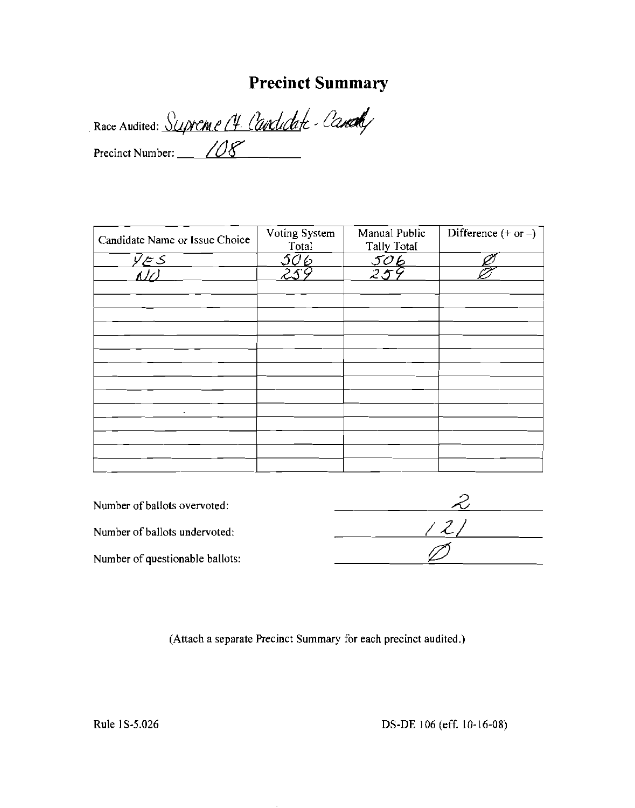# **Precinct Summary**

. Race Audited: Supreme (4. Candidate - Candidat) Precinct Number:  $\angle$  /08

| Candidate Name or Issue Choice      | Voting System<br>Total | Manual Public<br><b>Tally Total</b> | Difference $(+ or -)$ |
|-------------------------------------|------------------------|-------------------------------------|-----------------------|
| $\frac{\bar{y} \leq S}{\Lambda(t)}$ | 506                    |                                     |                       |
|                                     |                        | <u>506</u><br>259                   |                       |
|                                     |                        |                                     |                       |
|                                     |                        |                                     |                       |
|                                     |                        |                                     |                       |
|                                     |                        |                                     |                       |
|                                     |                        |                                     |                       |
|                                     |                        |                                     |                       |
|                                     |                        |                                     |                       |
|                                     |                        |                                     |                       |
|                                     |                        |                                     |                       |
| $\bullet$                           |                        |                                     |                       |
|                                     |                        |                                     |                       |
|                                     |                        |                                     |                       |
|                                     |                        |                                     |                       |
|                                     |                        |                                     |                       |

| Number of ballots overvoted:    |  |
|---------------------------------|--|
| Number of ballots undervoted:   |  |
| Number of questionable ballots: |  |

(Attach a separate Precinct Summary for each precinct audited.)

Rule 1S-5.026 DS-DE 106 (eff. 10-16-08)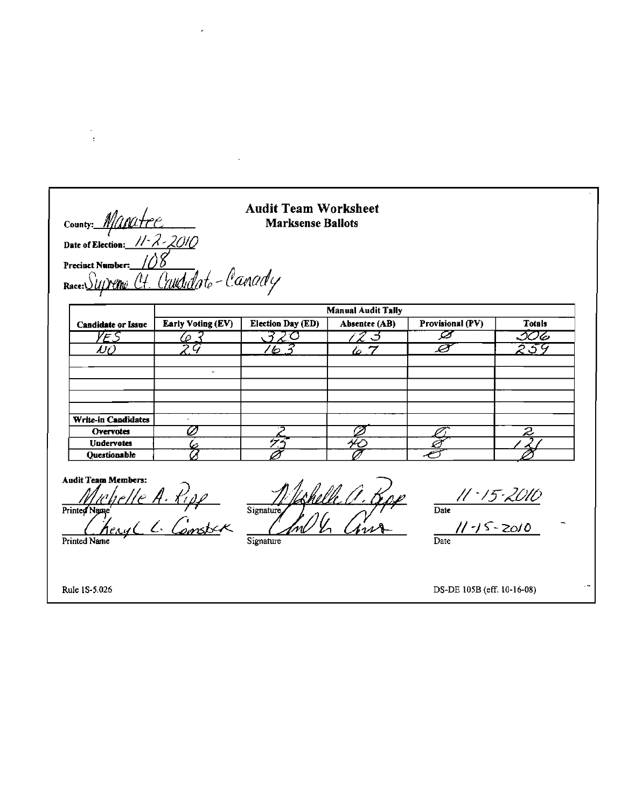### **Audit Team Worksheet Marksense Ballots**

Precinct Number: <u>-100</u><br><u>Ct. Cavdd</u>ote-Canady Race: $\bigcirc$ 

Manatre

Date of Election:  $11 - 2 - 2010$ 

|                           | <b>Manual Audit Tally</b> |                   |               |                  |                          |
|---------------------------|---------------------------|-------------------|---------------|------------------|--------------------------|
| <b>Candidate or Issue</b> | <b>Early Voting (EV)</b>  | Election Day (ED) | Absentee (AB) | Provisional (PV) | <b>Totals</b>            |
| $\blacktriangleright$ :   |                           |                   |               |                  | 506                      |
| NQ.                       | $\boldsymbol{\omega}$     | $\varphi$         | <u>io 7</u>   |                  | 3ء                       |
|                           |                           |                   |               |                  |                          |
|                           |                           |                   |               |                  |                          |
|                           |                           |                   |               |                  |                          |
|                           |                           |                   |               |                  |                          |
|                           |                           |                   |               |                  |                          |
| Write-in Candidates       |                           |                   |               |                  |                          |
| Overvotes                 |                           |                   |               |                  | $\overline{\mathcal{Z}}$ |
| <b>Undervotes</b>         |                           | 47                |               |                  |                          |
| Questionable              |                           |                   |               |                  |                          |

**Audit Team Members:** helle A. Ripp<br>engl L. Comster Printed Name Printed Name

Signature  $\overline{\mathscr{D}\mathscr{G}}$ is Signature

 $\frac{11.15.2010}{\text{Date}}$ 

11-15-2010  $\overline{Date}$ 

Rule 1S-5.026

 $\ddot{\phantom{a}}$ 

County:

DS-DE 105B (eff. 10-16-08)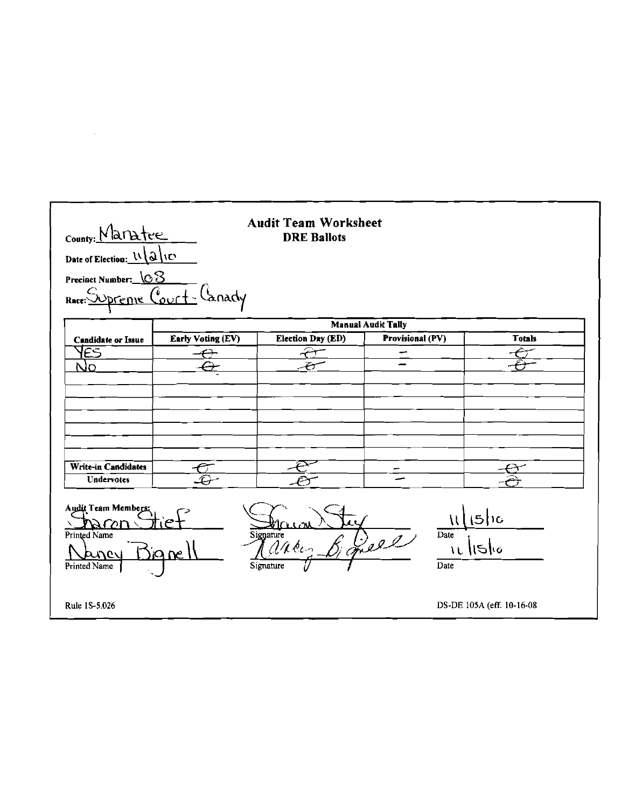| County: Maratee                                  |                          | <b>Audit Team Worksheet</b><br><b>DRE Ballots</b> |                           |                           |
|--------------------------------------------------|--------------------------|---------------------------------------------------|---------------------------|---------------------------|
| Date of Election: 11/2/10<br>Precinct Number: 08 |                          |                                                   |                           |                           |
| preme Cour<br>Race:                              |                          |                                                   |                           |                           |
|                                                  |                          |                                                   | <b>Manual Audit Tally</b> |                           |
| <b>Candidate or Issue</b>                        | <b>Early Voting (EV)</b> | Election Day (ED)                                 | Provisional (PV)          | <b>Totals</b>             |
| PES                                              |                          |                                                   | مب                        |                           |
| No                                               |                          |                                                   |                           |                           |
|                                                  |                          |                                                   |                           |                           |
|                                                  |                          |                                                   |                           |                           |
|                                                  |                          |                                                   |                           |                           |
|                                                  |                          |                                                   |                           |                           |
|                                                  |                          |                                                   |                           |                           |
| Write-in Candidates                              |                          |                                                   |                           |                           |
| <b>Undervotes</b>                                |                          |                                                   |                           |                           |
| Audit Team Members:<br>חמזמ                      |                          |                                                   |                           | عطى                       |
| Printed Name                                     |                          | Signature                                         | Date                      |                           |
| <b>A</b> ner<br>Printed Name                     | ia ne.                   | ances<br>Signature                                | Que<br>Date               | IL IISIO                  |
|                                                  |                          |                                                   |                           |                           |
| Rule 1S-5.026                                    |                          |                                                   |                           | DS-DE 105A (eff. 10-16-08 |

 $\label{eq:2.1} \mathcal{L}(\mathcal{L}^{\text{max}}_{\mathcal{L}}(\mathcal{L}^{\text{max}}_{\mathcal{L}})) \leq \mathcal{L}(\mathcal{L}^{\text{max}}_{\mathcal{L}}(\mathcal{L}^{\text{max}}_{\mathcal{L}}))$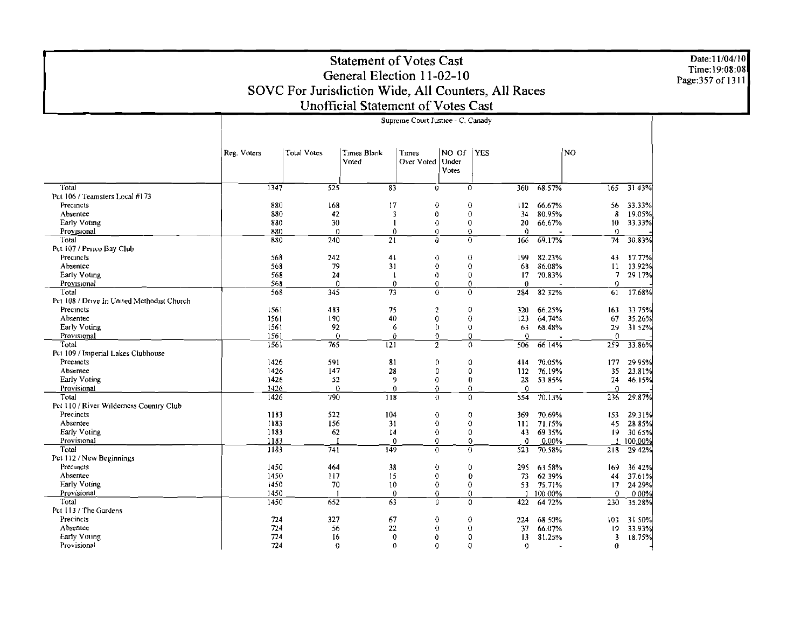Date:11/04/10<br>Time:19:08:08<br>Page:357 of 1311

### **Statement of Votes Cast** General Election 11-02-10 SOVC For Jurisdiction Wide, All Counters, All Races Unofficial Statement of Votes Cast

|                                            | Reg. Voters | <b>Total Votes</b> | Times Blank<br>Voted   | Times<br>Over Voted | NO Of<br>Under<br>Votes | <b>YES</b>       |             |                     | N <sub>O</sub>   |          |
|--------------------------------------------|-------------|--------------------|------------------------|---------------------|-------------------------|------------------|-------------|---------------------|------------------|----------|
|                                            |             |                    |                        |                     |                         |                  |             |                     |                  |          |
| Total                                      | 1347        | $\overline{525}$   | $\overline{\text{83}}$ | 0                   |                         | $\overline{0}$   | 360         | 68.57%              | $\overline{165}$ | 3143%    |
| Pct 106 / Teamsters Local #173             |             |                    |                        |                     |                         |                  |             |                     |                  |          |
| Precincts                                  | 880         | 168                | 17                     | $\theta$            |                         | $\theta$         | 112         | 66.67%              | 56               | 33.33%   |
| Absentee                                   | 880         | 42                 | 3                      | $\Omega$            |                         | $\theta$         | 34          | 80.95%              | 8                | 19.05%   |
| Early Voting                               | 880         | 30                 | -1                     | 0                   |                         | $\boldsymbol{0}$ | 20          | 66.67%              | 10               | 33.33%   |
| Provisional                                | 880         | $\mathbf 0$        | 0                      | $\Omega$            |                         | $\mathbf 0$      | 0           |                     | $\bf{0}$         |          |
| Total                                      | 880         | 240                | 21                     | $\theta$            |                         | $\bf{0}$         | 166         | 69.17%              | 74               | 30.83%   |
| Pct 107 / Perico Bay Club                  |             |                    |                        |                     |                         |                  |             |                     |                  |          |
| Precincts                                  | 568         | 242                | 41                     | $\theta$            |                         | $\boldsymbol{0}$ | 199         | 82.23%              | 43               | 17.77%   |
| Absentee                                   | 568         | 79                 | 31                     | $\bf{0}$            |                         | $\bf{0}$         | 68          | 86.08%              | 11               | 13.92%   |
| Early Voting                               | 568         | 24                 | $\mathbf{I}$           | $\Omega$            |                         | $\mathbf{0}$     | 17          | 70.83%              | 7                | 29 17%   |
| Provisional                                | 568         | $\Omega$           | 0                      | $\theta$            |                         | 0                | 0           |                     | 0                |          |
| Total                                      | 568         | $\overline{345}$   | $\overline{73}$        | $\bf{0}$            |                         | $\Omega$         | 284         | 82 32%              | 61               | 17.68%   |
| Pct 108 / Drive In United Methodist Church |             |                    |                        |                     |                         |                  |             |                     |                  |          |
| Precincts                                  | 1561        | 483                | 75                     | $\overline{2}$      |                         | 0                | 320         | 66.25%              | 163              | -33 75%l |
| Absentec                                   | 1561        | 190                | 40                     | $\mathbf 0$         |                         | $\bf{0}$         | 123         | 64.74%              | 67               | 35.26%   |
| Early Voting                               | 1561        | 92                 | 6                      | $\mathbf{0}$        |                         | $\bf{0}$         | 63          | 68.48%              | 29               | 31 52%   |
| Provisional                                | 1561        | $\theta$           | 0                      | $\Omega$            |                         | $\theta$         | $\Omega$    |                     | $\Omega$         |          |
| Total                                      | 1561        | 765                | $\overline{121}$       | $\overline{2}$      |                         | 0                | 506         | $66\overline{14\%}$ | 259              | 33.86%   |
| Pct 109 / Imperial Lakes Clubhouse         |             |                    |                        |                     |                         |                  |             |                     |                  |          |
| Preemets                                   | 1426        | 591                | 81                     | $\theta$            |                         | 0                | 414         | 70.05%              | 177              | 29 95%   |
| Absentee                                   | 1426        | 147                | 28                     | 0                   |                         | 0                | 112         | 76.19%              | 35               | 23.81%   |
| Early Voting                               | 1426        | 52                 | 9                      | 0                   |                         | 0                | 28          | 53 85%              | 24               | 46.15%   |
| Provisional                                | 1426        | $\Omega$           | $\theta$               | $\theta$            |                         | $\theta$         | $\Omega$    |                     | $\theta$         |          |
| Total                                      | 1426        | 790                | 118                    | $\Omega$            |                         | $\Omega$         | 554         | 70.13%              | 236              | 29.87%   |
| Pet 110 / River Wilderness Country Club    |             |                    |                        |                     |                         |                  |             |                     |                  |          |
| Precincts                                  | 1183        | 522                | 104                    | $\theta$            |                         | $\bf{0}$         | 369         | 70.69%              | 153              | 29.31%   |
| Absentee                                   | 1183        | 156                | 31                     | $\bf{0}$            |                         | $\bf{0}$         | 111         | 71.15%              | 45               | 28 85%   |
| Early Voting                               | 1183        | 62                 | 14                     | $\bf{0}$            |                         | $\mathbf 0$      | 43          | 69 35%              | 19               | 30 65%   |
| Provisional                                | 1183        |                    | $\mathbf{0}$           | $\mathbf 0$         |                         | 0                | $\mathbf 0$ | 0.00%               |                  | 100.00%  |
| Total                                      | 1183        | 741                | 149                    | $\overline{0}$      |                         | $\overline{0}$   | 523         | 70.58%              | 218              | 29 42%   |
| Pct 112 / New Beginnings                   |             |                    |                        |                     |                         |                  |             |                     |                  |          |
| Precincts                                  | 1450        | 464                | 38                     | $\bf{0}$            |                         | $\mathbf 0$      | 295         | 63 58%              | 169              | 36 42%   |
| Absentce                                   | 1450        | 117                | 15                     | $\mathbf 0$         |                         | $\bf{0}$         | 73          | 62 39%              | 44               | 37.61%   |
| <b>Early Voting</b>                        | 1450        | 70                 | 10                     | $\bf{0}$            |                         | $\bf{0}$         | 53.         | 75.71%              | 17               | 24 29%   |
| Provisional                                | 1450        |                    | $\Omega$               | 0                   |                         | $\bf{0}$         |             | 100 00%             | $\theta$         | 0.00%    |
| Total                                      | 1450        | 652                | 63                     | $\theta$            |                         | 0                | 422         | 6472%               | 230              | 35.28%   |
| Pct 113 / The Gardens                      |             |                    |                        |                     |                         |                  |             |                     |                  |          |
| Precincts                                  | 724         | 327                | 67                     | $\theta$            |                         | $\theta$         | 224         | 68 50%              | 103              | 31 50%   |
| Absentce                                   | 724         | 56                 | 22                     | $\bf{0}$            |                         | $\bf{0}$         | 37          | 66.07%              | $\overline{19}$  | 33.93%   |
| <b>Early Voting</b>                        | 724         | 16                 | $\theta$               | $\theta$            |                         | $\theta$         | 13          | 81.25%              | 3                | 18.75%   |
| Provisional                                | 724         | $\theta$           | $\Omega$               | $\theta$            |                         | $\theta$         | $\mathbf 0$ |                     | 0                |          |
|                                            |             |                    |                        |                     |                         |                  |             |                     |                  |          |

#### Supreme Court Justice - C. Canady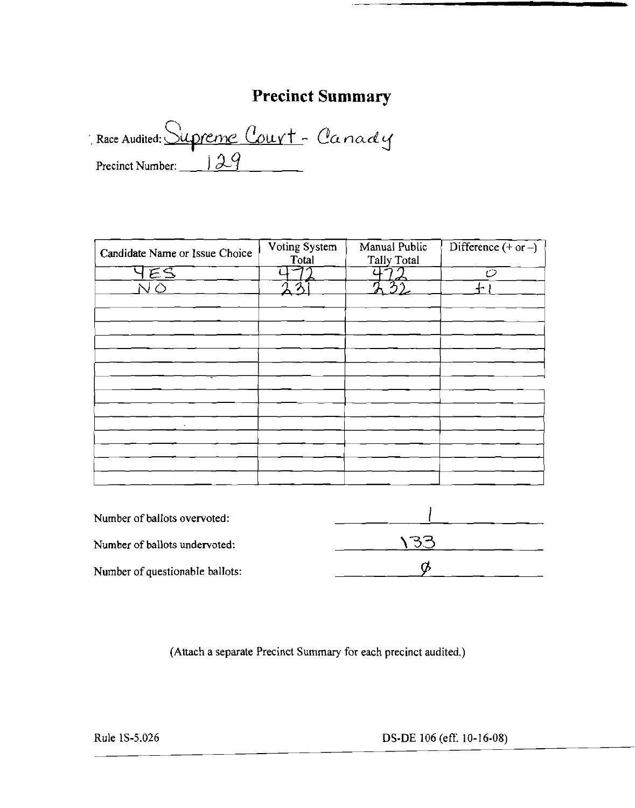## **Precinct Summary**

Race Audited: Supreme Court - Canady Precinct Number:  $\boxed{\underline{99}}$ 

| Candidate Name or Issue Choice | Voting System<br>Total | Manual Public<br>Tally Total | Difference $(+$ or $-)$ |
|--------------------------------|------------------------|------------------------------|-------------------------|
| ES                             |                        |                              | ť2                      |
|                                | $\eta$                 | ્∂,<br>J)                    |                         |
|                                |                        |                              |                         |
|                                |                        |                              |                         |
|                                |                        |                              |                         |
|                                |                        |                              |                         |
|                                |                        |                              |                         |
|                                |                        |                              |                         |
|                                |                        |                              |                         |
|                                |                        |                              |                         |
|                                |                        |                              |                         |
|                                |                        |                              |                         |
|                                |                        |                              |                         |
|                                |                        |                              |                         |
|                                |                        |                              |                         |
|                                |                        |                              |                         |

| Number of ballots overvoted:    |  |
|---------------------------------|--|
| Number of ballots undervoted:   |  |
| Number of questionable ballots: |  |

(Attach a separate Precinct Summary for each precinct audited.)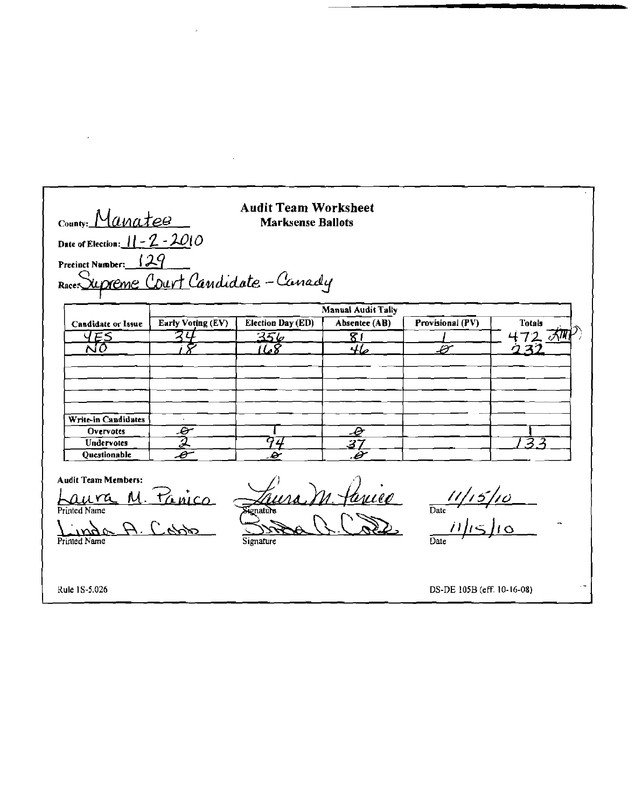| County: Manatee                                 | <b>Audit Team Worksheet</b>                               |                  |                                                                                                 |               |  |  |  |
|-------------------------------------------------|-----------------------------------------------------------|------------------|-------------------------------------------------------------------------------------------------|---------------|--|--|--|
|                                                 |                                                           |                  |                                                                                                 |               |  |  |  |
|                                                 |                                                           |                  |                                                                                                 |               |  |  |  |
|                                                 |                                                           |                  |                                                                                                 |               |  |  |  |
|                                                 |                                                           |                  |                                                                                                 |               |  |  |  |
| Early Voting (EV)                               | <b>Election Day (ED)</b>                                  | Absentee (AB)    | Provisional (PV)                                                                                | <b>Totals</b> |  |  |  |
|                                                 |                                                           | $\overline{8}$ í |                                                                                                 | 472 グ         |  |  |  |
|                                                 | 68                                                        | 46               | سخت                                                                                             |               |  |  |  |
|                                                 |                                                           |                  |                                                                                                 |               |  |  |  |
|                                                 |                                                           |                  |                                                                                                 |               |  |  |  |
|                                                 |                                                           |                  |                                                                                                 |               |  |  |  |
|                                                 |                                                           | <u> P</u>        |                                                                                                 |               |  |  |  |
| $\overline{\mathscr{E}}$                        |                                                           |                  |                                                                                                 |               |  |  |  |
| $\overline{\mathcal{Z}}$<br>$\bar{\mathcal{C}}$ | 74<br>s                                                   | 37<br>.B         |                                                                                                 | 3             |  |  |  |
|                                                 | Date of Election: $11 - 2 - 2010$<br>Precinct Number: 129 | 356              | <b>Marksense Ballots</b><br>Race: Supreme Court Candidate - Canady<br><b>Manual Audit Tally</b> |               |  |  |  |

A. Cobb Printed Name

 $\hat{\mathcal{A}}$ 

 $\mathcal{A}$ 

RCSE Signature

 $\frac{11/15/10}{\frac{1}{\text{Date}}$ 

Rule 1S-5.026

 $\cdot$ 

DS-DE 105B (eff. 10-16-08)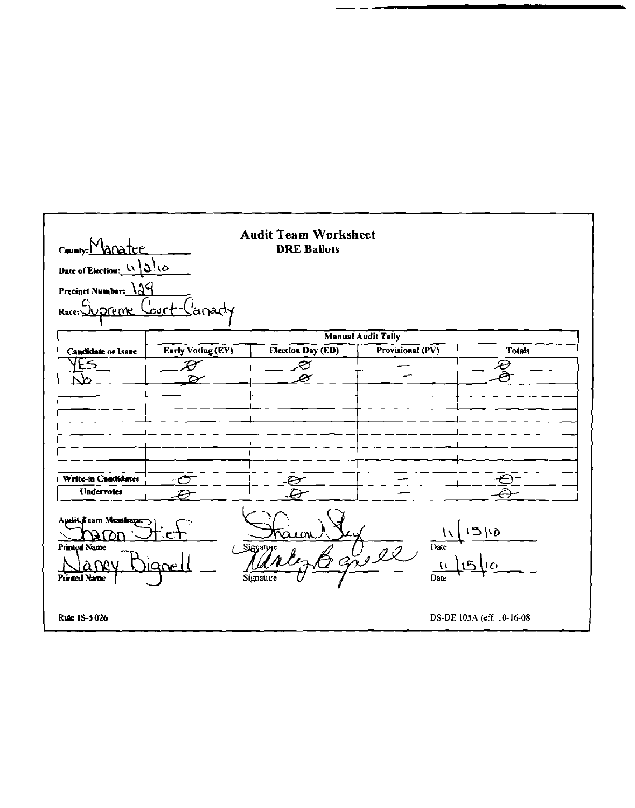| County: Manatee                                                                                                                                                                                         |                            | <b>Audit Team Worksheet</b><br><b>DRE Ballots</b> |                  |                           |  |  |  |  |
|---------------------------------------------------------------------------------------------------------------------------------------------------------------------------------------------------------|----------------------------|---------------------------------------------------|------------------|---------------------------|--|--|--|--|
| Date of Election: $\lfloor \sqrt{2} \rfloor$ (O                                                                                                                                                         |                            |                                                   |                  |                           |  |  |  |  |
| Precinct Number: 129                                                                                                                                                                                    |                            |                                                   |                  |                           |  |  |  |  |
| Woreme<br>Race:                                                                                                                                                                                         | ∹our <del>t</del><br>anady |                                                   |                  |                           |  |  |  |  |
|                                                                                                                                                                                                         | <b>Manual Audit Tally</b>  |                                                   |                  |                           |  |  |  |  |
| <b>Candidate or Issue</b>                                                                                                                                                                               | Early Voting (EV)          | Election Day (ED)                                 | Provisional (PV) | <b>Totals</b>             |  |  |  |  |
| ES                                                                                                                                                                                                      | $\boldsymbol{\mathcal{P}}$ | ల∕                                                |                  | $\widehat{\mathcal{E}}$   |  |  |  |  |
| $\Delta$                                                                                                                                                                                                |                            | ⊘                                                 |                  |                           |  |  |  |  |
|                                                                                                                                                                                                         |                            |                                                   |                  |                           |  |  |  |  |
|                                                                                                                                                                                                         |                            |                                                   |                  |                           |  |  |  |  |
|                                                                                                                                                                                                         |                            |                                                   |                  |                           |  |  |  |  |
|                                                                                                                                                                                                         |                            |                                                   |                  |                           |  |  |  |  |
|                                                                                                                                                                                                         |                            |                                                   |                  |                           |  |  |  |  |
| Write-in Candidates                                                                                                                                                                                     | ాలా                        | $\vartheta$                                       |                  |                           |  |  |  |  |
| Undervotes                                                                                                                                                                                              | Ð                          | Ð                                                 |                  |                           |  |  |  |  |
| Audit Feam Members:<br>15/6<br>₩<br>ຕ≀ດນ<br>ЭU<br><b>Printed Name</b><br>Date<br>Signature<br>grell<br>氐<br>a wu<br><b>IQNE</b><br>$\overline{0}$<br>$\mathcal{L}$<br>Printed Name<br>Signature<br>Date |                            |                                                   |                  |                           |  |  |  |  |
| Rule 1S-5.026                                                                                                                                                                                           |                            |                                                   |                  | DS-DE 105A (eff. 10-16-08 |  |  |  |  |